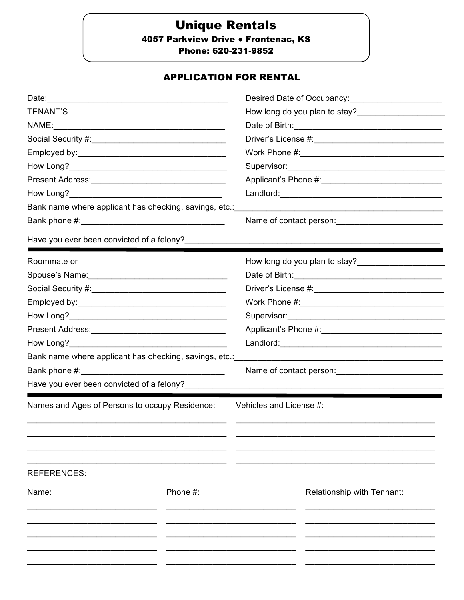# **Unique Rentals**

4057 Parkview Drive . Frontenac, KS

Phone: 620-231-9852

## **APPLICATION FOR RENTAL**

|                                                                        |          | Desired Date of Occupancy:<br><u>Desired</u> Date of Occupancy:                                                                                                                                                                      |  |
|------------------------------------------------------------------------|----------|--------------------------------------------------------------------------------------------------------------------------------------------------------------------------------------------------------------------------------------|--|
| <b>TENANT'S</b>                                                        |          |                                                                                                                                                                                                                                      |  |
|                                                                        |          | Date of Birth: <u>contained and all property and all property and all property and all property and all property and all property and all property and all property and all property and all property and all property and all p</u> |  |
|                                                                        |          |                                                                                                                                                                                                                                      |  |
|                                                                        |          |                                                                                                                                                                                                                                      |  |
|                                                                        |          |                                                                                                                                                                                                                                      |  |
|                                                                        |          |                                                                                                                                                                                                                                      |  |
|                                                                        |          |                                                                                                                                                                                                                                      |  |
| Bank name where applicant has checking, savings, etc.:                 |          |                                                                                                                                                                                                                                      |  |
|                                                                        |          |                                                                                                                                                                                                                                      |  |
| Have you ever been convicted of a felony?                              |          |                                                                                                                                                                                                                                      |  |
| Roommate or                                                            |          | How long do you plan to stay?                                                                                                                                                                                                        |  |
| Spouse's Name: Mannelle Management Communication of the Spouse's Name: |          |                                                                                                                                                                                                                                      |  |
|                                                                        |          |                                                                                                                                                                                                                                      |  |
|                                                                        |          |                                                                                                                                                                                                                                      |  |
|                                                                        |          |                                                                                                                                                                                                                                      |  |
|                                                                        |          |                                                                                                                                                                                                                                      |  |
|                                                                        |          |                                                                                                                                                                                                                                      |  |
| Bank name where applicant has checking, savings, etc.:                 |          |                                                                                                                                                                                                                                      |  |
|                                                                        |          |                                                                                                                                                                                                                                      |  |
| Have you ever been convicted of a felony?                              |          |                                                                                                                                                                                                                                      |  |
| Names and Ages of Persons to occupy Residence:                         |          | Vehicles and License #:                                                                                                                                                                                                              |  |
| <b>REFERENCES:</b>                                                     |          |                                                                                                                                                                                                                                      |  |
| Name:                                                                  | Phone #: | Relationship with Tennant:                                                                                                                                                                                                           |  |
|                                                                        |          |                                                                                                                                                                                                                                      |  |
|                                                                        |          |                                                                                                                                                                                                                                      |  |